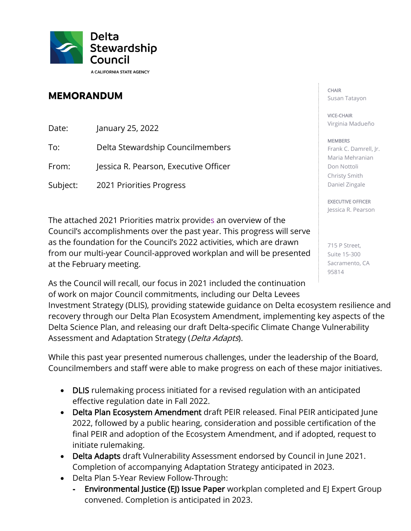

## **MEMORANDUM**

Date: January 25, 2022

To: Delta Stewardship Councilmembers

From: Jessica R. Pearson, Executive Officer

Subject: 2021 Priorities Progress

The attached 2021 Priorities matrix provides an overview of the Council's accomplishments over the past year. This progress will serve as the foundation for the Council's 2022 activities, which are drawn from our multi-year Council-approved workplan and will be presented at the February meeting.

As the Council will recall, our focus in 2021 included the continuation of work on major Council commitments, including our Delta Levees

 recovery through our Delta Plan Ecosystem Amendment, implementing key aspects of the Assessment and Adaptation Strategy (Delta Adapts). Investment Strategy (DLIS), providing statewide guidance on Delta ecosystem resilience and Delta Science Plan, and releasing our draft Delta-specific Climate Change Vulnerability

 Councilmembers and staff were able to make progress on each of these major initiatives. While this past year presented numerous challenges, under the leadership of the Board,

- DLIS rulemaking process initiated for a revised regulation with an anticipated effective regulation date in Fall 2022.
- 2022, followed by a public hearing, consideration and possible certification of the final PEIR and adoption of the Ecosystem Amendment, and if adopted, request to • Delta Plan Ecosystem Amendment draft PEIR released. Final PEIR anticipated June initiate rulemaking.
- Delta Adapts draft Vulnerability Assessment endorsed by Council in June 2021. Completion of accompanying Adaptation Strategy anticipated in 2023.
- Delta Plan 5-Year Review Follow-Through:
	- **-** Environmental Justice (EJ) Issue Paper workplan completed and EJ Expert Group convened. Completion is anticipated in 2023.

## CHAIR Susan Tatayon

VICE-CHAIR Virginia Madueño

## MEMBERS

 Frank C. Damrell, Jr. Maria Mehranian Don Nottoli Christy Smith Daniel Zingale

EXECUTIVE OFFICER Jessica R. Pearson

 715 P Street, Suite 15-300 Sacramento, CA 95814